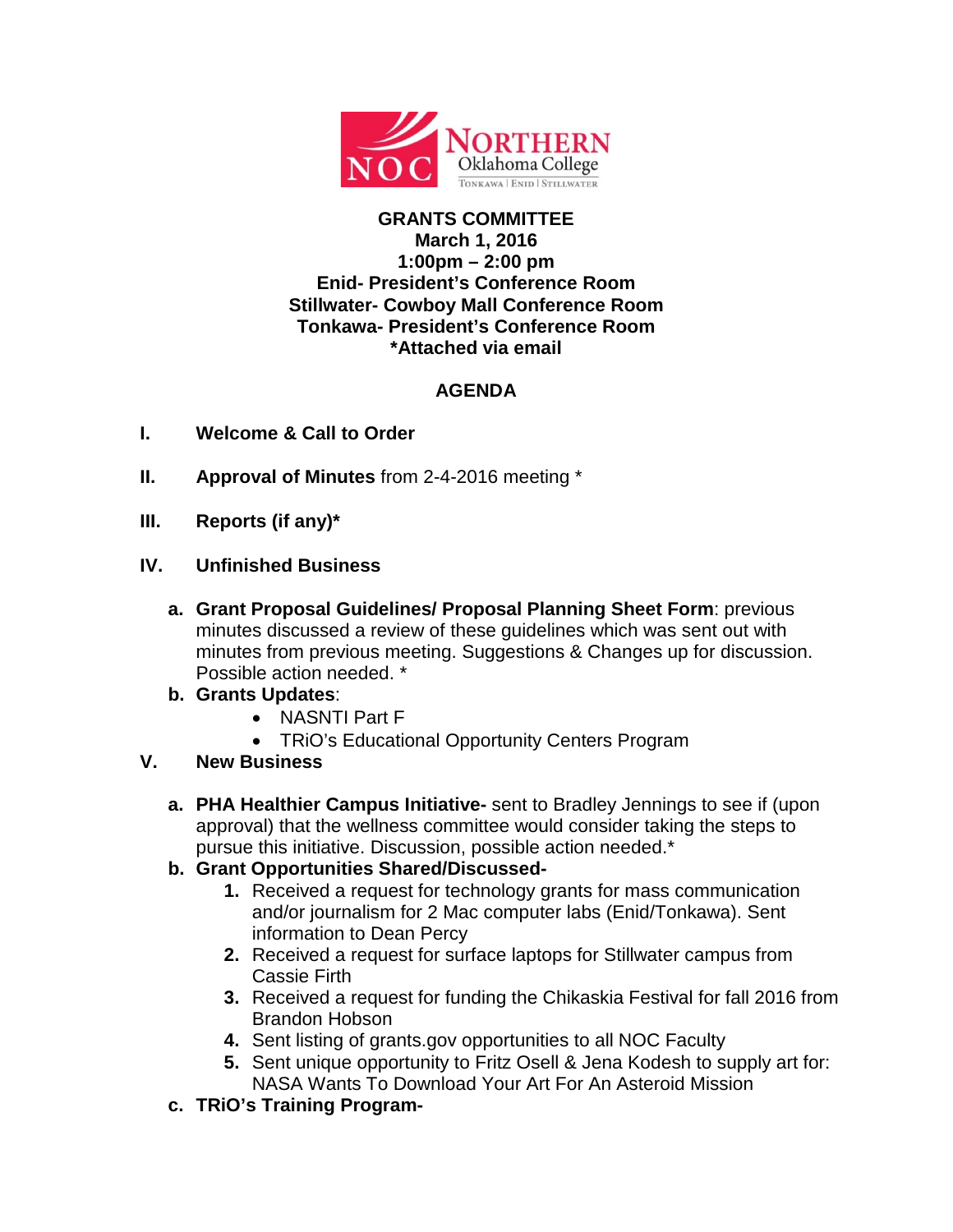

## **GRANTS COMMITTEE March 1, 2016 1:00pm – 2:00 pm Enid- President's Conference Room Stillwater- Cowboy Mall Conference Room Tonkawa- President's Conference Room \*Attached via email**

## **AGENDA**

- **I. Welcome & Call to Order**
- **II. Approval of Minutes** from 2-4-2016 meeting \*
- **III. Reports (if any)\***
- **IV. Unfinished Business**
	- **a. Grant Proposal Guidelines/ Proposal Planning Sheet Form**: previous minutes discussed a review of these guidelines which was sent out with minutes from previous meeting. Suggestions & Changes up for discussion. Possible action needed. \*
	- **b. Grants Updates**:
		- NASNTI Part F
		- TRiO's Educational Opportunity Centers Program
- **V. New Business**
	- **a. PHA Healthier Campus Initiative-** sent to Bradley Jennings to see if (upon approval) that the wellness committee would consider taking the steps to pursue this initiative. Discussion, possible action needed.\*
	- **b. Grant Opportunities Shared/Discussed-**
		- **1.** Received a request for technology grants for mass communication and/or journalism for 2 Mac computer labs (Enid/Tonkawa). Sent information to Dean Percy
		- **2.** Received a request for surface laptops for Stillwater campus from Cassie Firth
		- **3.** Received a request for funding the Chikaskia Festival for fall 2016 from Brandon Hobson
		- **4.** Sent listing of grants.gov opportunities to all NOC Faculty
		- **5.** Sent unique opportunity to Fritz Osell & Jena Kodesh to supply art for: NASA Wants To Download Your Art For An Asteroid Mission
	- **c. TRiO's Training Program-**